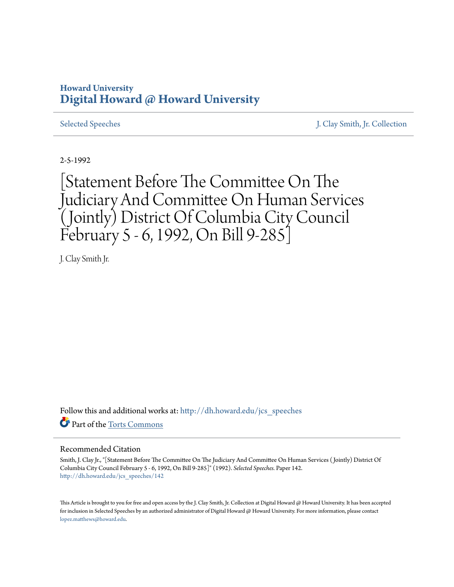## **Howard University [Digital Howard @ Howard University](http://dh.howard.edu?utm_source=dh.howard.edu%2Fjcs_speeches%2F142&utm_medium=PDF&utm_campaign=PDFCoverPages)**

[Selected Speeches](http://dh.howard.edu/jcs_speeches?utm_source=dh.howard.edu%2Fjcs_speeches%2F142&utm_medium=PDF&utm_campaign=PDFCoverPages) [J. Clay Smith, Jr. Collection](http://dh.howard.edu/jcsmith?utm_source=dh.howard.edu%2Fjcs_speeches%2F142&utm_medium=PDF&utm_campaign=PDFCoverPages)

2-5-1992

[Statement Before The Committee On The Judiciary And Committee On Human Services (Jointly) District Of Columbia City Council February 5 - 6, 1992, On Bill 9-285]

J. Clay Smith Jr.

Follow this and additional works at: [http://dh.howard.edu/jcs\\_speeches](http://dh.howard.edu/jcs_speeches?utm_source=dh.howard.edu%2Fjcs_speeches%2F142&utm_medium=PDF&utm_campaign=PDFCoverPages) Part of the [Torts Commons](http://network.bepress.com/hgg/discipline/913?utm_source=dh.howard.edu%2Fjcs_speeches%2F142&utm_medium=PDF&utm_campaign=PDFCoverPages)

## Recommended Citation

Smith, J. Clay Jr., "[Statement Before The Committee On The Judiciary And Committee On Human Services ( Jointly) District Of Columbia City Council February 5 - 6, 1992, On Bill 9-285]" (1992). *Selected Speeches.* Paper 142. [http://dh.howard.edu/jcs\\_speeches/142](http://dh.howard.edu/jcs_speeches/142?utm_source=dh.howard.edu%2Fjcs_speeches%2F142&utm_medium=PDF&utm_campaign=PDFCoverPages)

This Article is brought to you for free and open access by the J. Clay Smith, Jr. Collection at Digital Howard @ Howard University. It has been accepted for inclusion in Selected Speeches by an authorized administrator of Digital Howard @ Howard University. For more information, please contact [lopez.matthews@howard.edu.](mailto:lopez.matthews@howard.edu)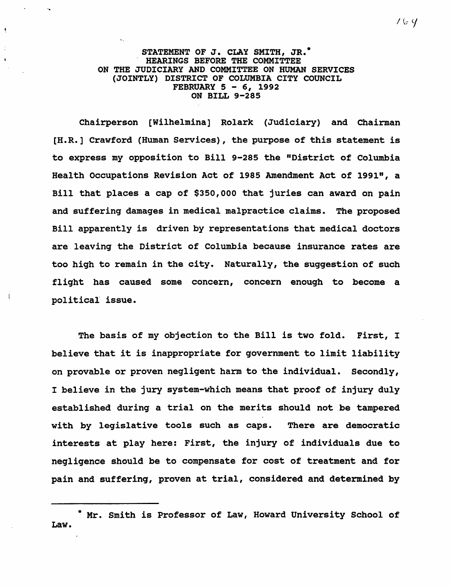STATEMENT OF J. CLAY SMITH, JR.<sup>\*</sup><br>HEARINGS BEFORE THE COMMITTEE ON THE JUDICIARY AND COMMITTEE ON HUMAN SERVICES (JOINTLY) DISTRICT OF COLUMBIA CITY COUNCIL FEBRUARY 5 - 6, 1992 ON BILL 9-285

 $\bullet$ 

Chairperson [Wilhelmina] Ro1ark (Judiciary) and Chairman [H.R.] Crawford (Human Services), the purpose of this statement is to express my opposition to Bill 9-285 the "District of Columbia Health occupations Revision Act of 1985 Amendment Act of 1991", a Bill that places a cap of \$350,000 that juries can award on pain and suffering damages in medical malpractice claims. The proposed Bill apparently is driven by representations that medical doctors are leaving the District of Columbia because insurance rates are too high to remain in the city. Naturally, the suggestion of such flight has caused some concern, concern enough to become a political issue.

The basis of my objection to the Bill is two fold. First, I believe that it is inappropriate for government to limit liability on provable or proven negligent harm to the individual. Secondly, I believe in the jury system-which means that proof of injury duly established during a trial on the merits should not be tampered with by legislative tools such as caps. There are democratic interests at play here: First, the injury of individuals due to negligence should be to compensate for cost of treatment and for pain and suffering, proven at trial, considered and determined by

<sup>\*</sup> Mr. Smith is Professor of Law, Howard University School of Law.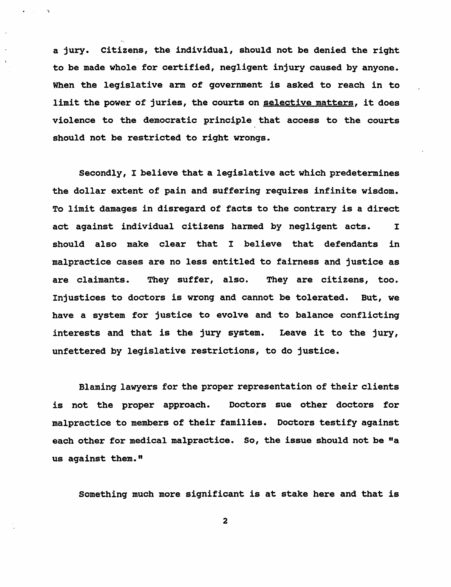a jury. Citizens, the individual, should not be denied the right to be made whole for certified, negligent injury caused by anyone. When the legislative arm of government is asked to reach in to limit the power of juries, the courts on selective matters, it does violence to the democratic principle that access to the courts should not be restricted to right wrongs.

 $\mathbf{z} = \mathbf{z}$ 

Secondly, I believe that a legislative act which predetermines the dollar extent of pain and suffering requires infinite wisdom. To limit damages in disregard of facts to the contrary is a direct act against individual citizens harmed by negligent acts. I should also make clear that I believe that defendants in malpractice cases are no less entitled to fairness and justice as are claimants. They suffer, also. They are citizens, too. Injustices to doctors is wrong and cannot be tolerated. But, we have a system for justice to evolve and to balance conflicting interests and that is the jury system. Leave it to the jury, unfettered by legislative restrictions, to do justice.

Blaming lawyers for the proper representation of their clients is not the proper approach. Doctors sue other doctors for malpractice to members of their families. Doctors testify against each other for medical malpractice. So, the issue should not be "a us against them."

Something much more significant is at stake here and that is

2